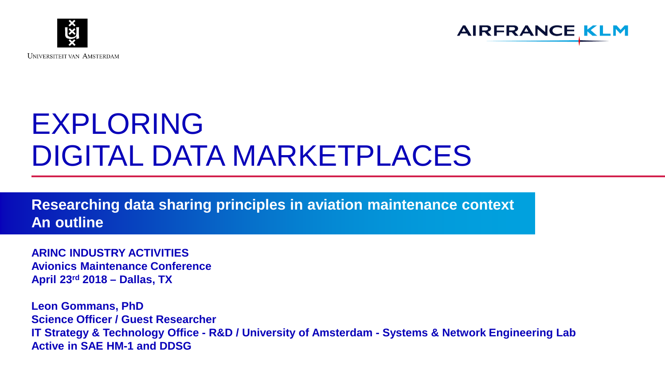



# EXPLORING DIGITAL DATA MARKETPLACES

**Researching data sharing principles in aviation maintenance context An outline**

**ARINC INDUSTRY ACTIVITIES Avionics Maintenance Conference April 23rd 2018 – Dallas, TX**

**Leon Gommans, PhD Science Officer / Guest Researcher IT Strategy & Technology Office - R&D / University of Amsterdam - Systems & Network Engineering Lab Active in SAE HM-1 and DDSG**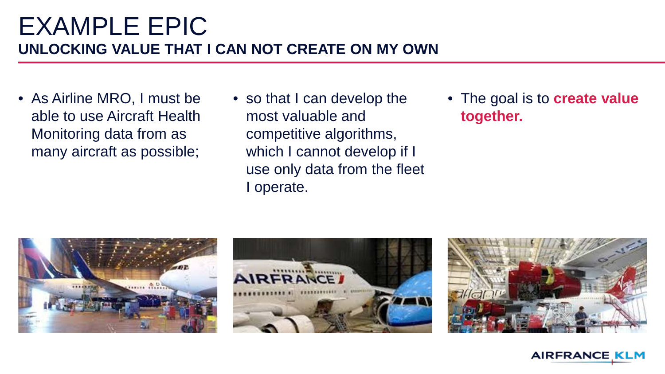### EXAMPLE EPIC **UNLOCKING VALUE THAT I CAN NOT CREATE ON MY OWN**

- As Airline MRO, I must be able to use Aircraft Health Monitoring data from as many aircraft as possible;
- so that I can develop the most valuable and competitive algorithms, which I cannot develop if I use only data from the fleet I operate.
- The goal is to **create value together.**







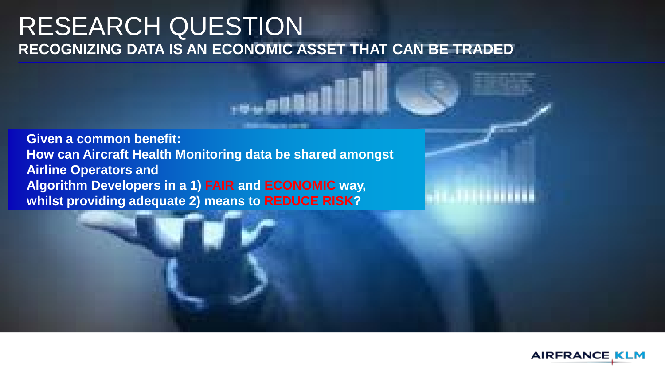#### RESEARCH QUESTION **RECOGNIZING DATA IS AN ECONOMIC ASSET THAT CAN BE TRADED**

**Given a common benefit: How can Aircraft Health Monitoring data be shared amongst Airline Operators and Algorithm Developers in a 1) FAIR and ECONOMIC way, whilst providing adequate 2) means to REDUCE RISK?** 

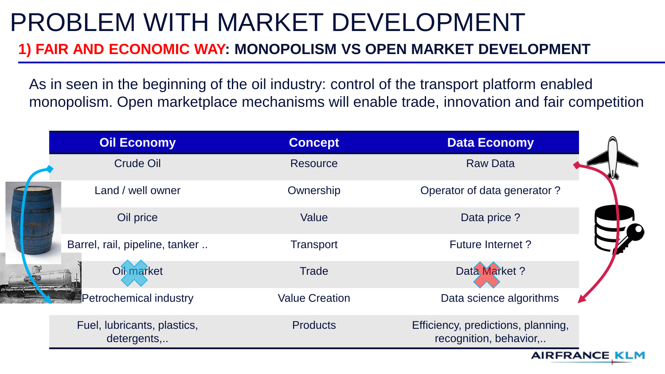# PROBLEM WITH MARKET DEVELOPMENT

#### **1) FAIR AND ECONOMIC WAY: MONOPOLISM VS OPEN MARKET DEVELOPMENT**

As in seen in the beginning of the oil industry: control of the transport platform enabled monopolism. Open marketplace mechanisms will enable trade, innovation and fair competition

|  | <b>Oil Economy</b>                         | <b>Concept</b>        | <b>Data Economy</b>                                          |
|--|--------------------------------------------|-----------------------|--------------------------------------------------------------|
|  | Crude Oil                                  | <b>Resource</b>       | <b>Raw Data</b>                                              |
|  | Land / well owner                          | Ownership             | Operator of data generator?                                  |
|  | Oil price                                  | Value                 | Data price?                                                  |
|  | Barrel, rail, pipeline, tanker             | Transport             | <b>Future Internet?</b>                                      |
|  | <b>Oil</b> market                          | <b>Trade</b>          | Data Market?                                                 |
|  | Petrochemical industry                     | <b>Value Creation</b> | Data science algorithms                                      |
|  | Fuel, lubricants, plastics,<br>detergents, | <b>Products</b>       | Efficiency, predictions, planning,<br>recognition, behavior, |

**AIRFRANCE I**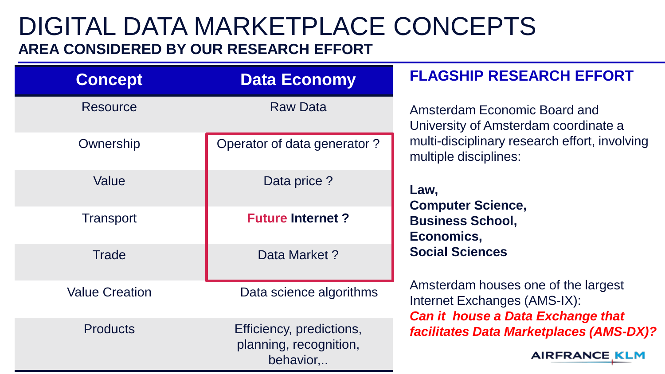### DIGITAL DATA MARKETPLACE CONCEPTS **AREA CONSIDERED BY OUR RESEARCH EFFORT**

| <b>Concept</b>        | <b>Data Economy</b>                                             | <b>FLAGSHIP RESEARCH EFFORT</b>                                                                                                                                                                                                                                                                                                                                                                                                             |  |
|-----------------------|-----------------------------------------------------------------|---------------------------------------------------------------------------------------------------------------------------------------------------------------------------------------------------------------------------------------------------------------------------------------------------------------------------------------------------------------------------------------------------------------------------------------------|--|
| <b>Resource</b>       | <b>Raw Data</b>                                                 | Amsterdam Economic Board and<br>University of Amsterdam coordinate a<br>multi-disciplinary research effort, involving<br>multiple disciplines:<br>Law,<br><b>Computer Science,</b><br><b>Business School,</b><br>Economics,<br><b>Social Sciences</b><br>Amsterdam houses one of the largest<br>Internet Exchanges (AMS-IX):<br><b>Can it house a Data Exchange that</b><br>facilitates Data Marketplaces (AMS-DX)?<br><b>AIRFRANCE KLM</b> |  |
| Ownership             | Operator of data generator?                                     |                                                                                                                                                                                                                                                                                                                                                                                                                                             |  |
| Value                 | Data price?                                                     |                                                                                                                                                                                                                                                                                                                                                                                                                                             |  |
| <b>Transport</b>      | <b>Future Internet?</b>                                         |                                                                                                                                                                                                                                                                                                                                                                                                                                             |  |
| <b>Trade</b>          | Data Market?                                                    |                                                                                                                                                                                                                                                                                                                                                                                                                                             |  |
| <b>Value Creation</b> | Data science algorithms                                         |                                                                                                                                                                                                                                                                                                                                                                                                                                             |  |
| <b>Products</b>       | Efficiency, predictions,<br>planning, recognition,<br>behavior, |                                                                                                                                                                                                                                                                                                                                                                                                                                             |  |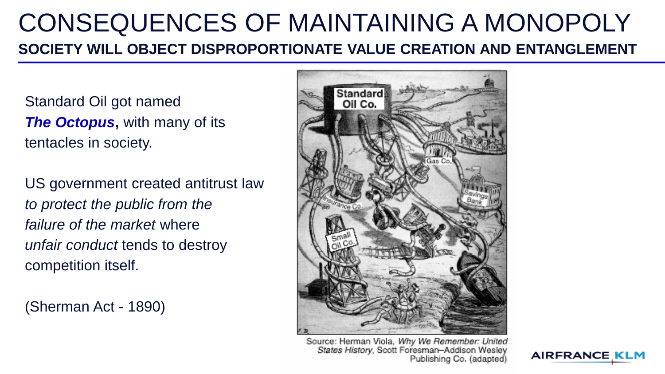### CONSEQUENCES OF MAINTAINING A MONOPOLY **SOCIETY WILL OBJECT DISPROPORTIONATE VALUE CREATION AND ENTANGLEMENT**

Standard Oil got named *The Octopus*, with many of its tentacles in society.

US government created antitrust law *to protect the public from the failure of the market* where *unfair conduct* tends to destroy competition itself.

(Sherman Act - 1890)



Source: Herman Viola, Why We Remember: United States History, Scott Foresman-Addison Wesley Publishing Co. (adapted)

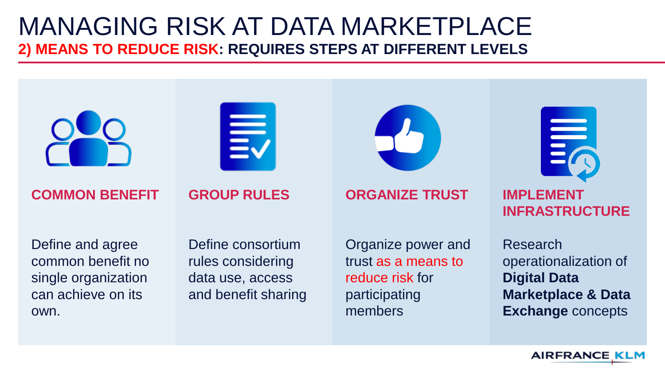### MANAGING RISK AT DATA MARKETPLACE **2) MEANS TO REDUCE RISK: REQUIRES STEPS AT DIFFERENT LEVELS**



**Exchange** concepts

**AIRFRANCE KL**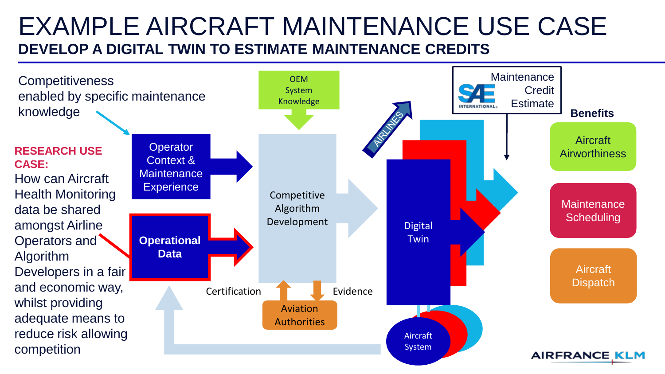### EXAMPLE AIRCRAFT MAINTENANCE USE CASE **DEVELOP A DIGITAL TWIN TO ESTIMATE MAINTENANCE CREDITS**

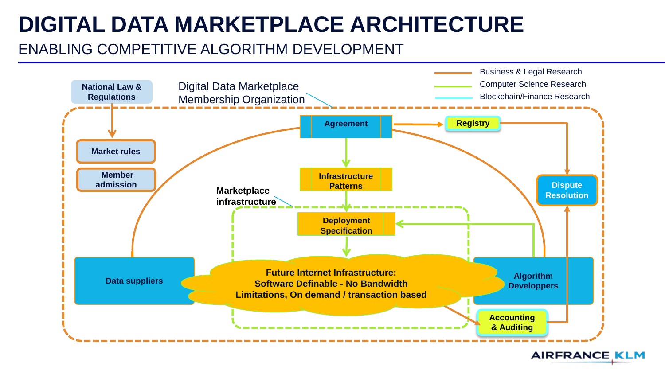## **DIGITAL DATA MARKETPLACE ARCHITECTURE**

#### ENABLING COMPETITIVE ALGORITHM DEVELOPMENT



**AIRFRANCE KLM**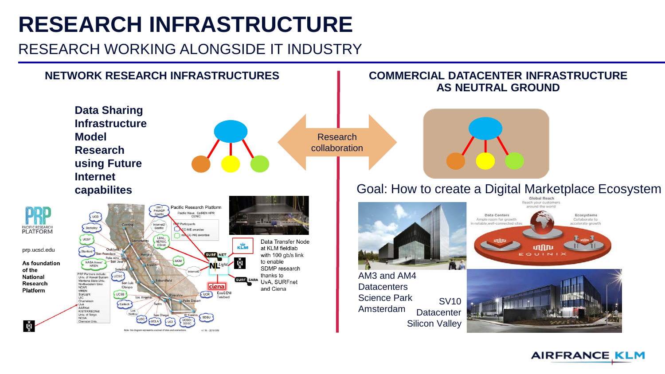## **RESEARCH INFRASTRUCTURE**

#### RESEARCH WORKING ALONGSIDE IT INDUSTRY



**AIRFRANCE KLM**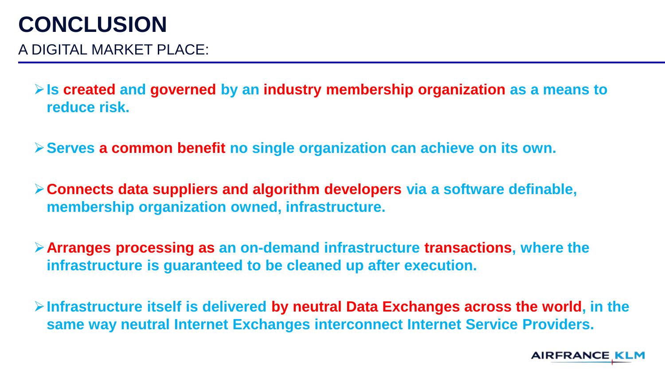### **CONCLUSION**

A DIGITAL MARKET PLACE:

**Is created and governed by an industry membership organization as a means to reduce risk.**

**Serves a common benefit no single organization can achieve on its own.**

**Connects data suppliers and algorithm developers via a software definable, membership organization owned, infrastructure.**

**Arranges processing as an on-demand infrastructure transactions, where the infrastructure is guaranteed to be cleaned up after execution.**

**Infrastructure itself is delivered by neutral Data Exchanges across the world, in the same way neutral Internet Exchanges interconnect Internet Service Providers.**